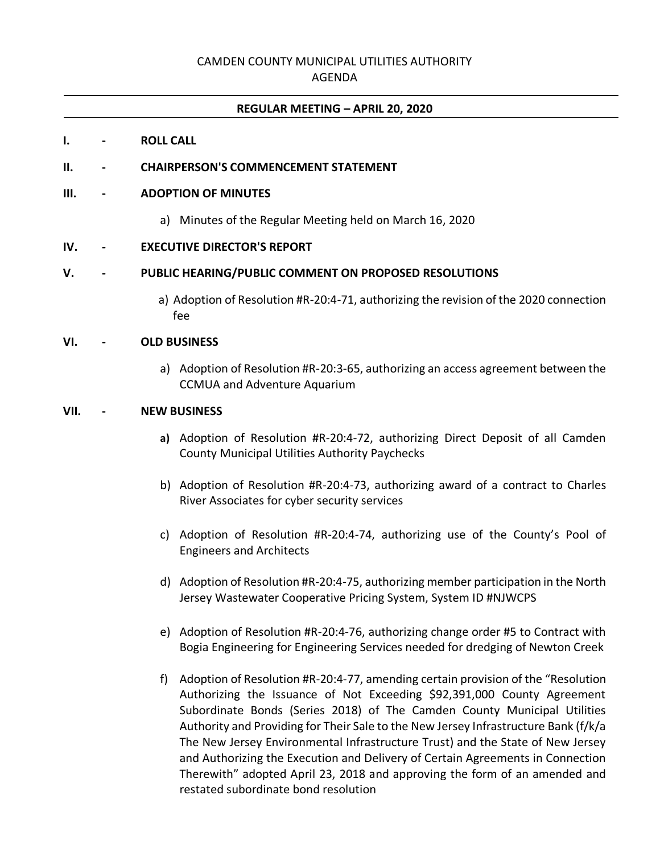# CAMDEN COUNTY MUNICIPAL UTILITIES AUTHORITY

### AGENDA

#### **REGULAR MEETING – APRIL 20, 2020**

#### **I. - ROLL CALL**

### **II. - CHAIRPERSON'S COMMENCEMENT STATEMENT**

#### **III. - ADOPTION OF MINUTES**

a) Minutes of the Regular Meeting held on March 16, 2020

### **IV. - EXECUTIVE DIRECTOR'S REPORT**

### **V. - PUBLIC HEARING/PUBLIC COMMENT ON PROPOSED RESOLUTIONS**

a) Adoption of Resolution #R-20:4-71, authorizing the revision of the 2020 connection fee

# **VI. - OLD BUSINESS**

a) Adoption of Resolution #R-20:3-65, authorizing an access agreement between the CCMUA and Adventure Aquarium

## **VII. - NEW BUSINESS**

- **a)** Adoption of Resolution #R-20:4-72, authorizing Direct Deposit of all Camden County Municipal Utilities Authority Paychecks
- b) Adoption of Resolution #R-20:4-73, authorizing award of a contract to Charles River Associates for cyber security services
- c) Adoption of Resolution #R-20:4-74, authorizing use of the County's Pool of Engineers and Architects
- d) Adoption of Resolution #R-20:4-75, authorizing member participation in the North Jersey Wastewater Cooperative Pricing System, System ID #NJWCPS
- e) Adoption of Resolution #R-20:4-76, authorizing change order #5 to Contract with Bogia Engineering for Engineering Services needed for dredging of Newton Creek
- f) Adoption of Resolution #R-20:4-77, amending certain provision of the "Resolution Authorizing the Issuance of Not Exceeding \$92,391,000 County Agreement Subordinate Bonds (Series 2018) of The Camden County Municipal Utilities Authority and Providing for Their Sale to the New Jersey Infrastructure Bank (f/k/a The New Jersey Environmental Infrastructure Trust) and the State of New Jersey and Authorizing the Execution and Delivery of Certain Agreements in Connection Therewith" adopted April 23, 2018 and approving the form of an amended and restated subordinate bond resolution